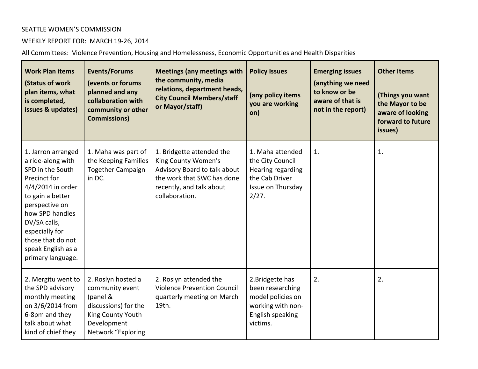## SEATTLE WOMEN'S COMMISSION

## WEEKLY REPORT FOR: MARCH 19-26, 2014

All Committees: Violence Prevention, Housing and Homelessness, Economic Opportunities and Health Disparities

| <b>Work Plan items</b><br>(Status of work<br>plan items, what<br>is completed,<br>issues & updates)                                                                                                                                                         | <b>Events/Forums</b><br>(events or forums<br>planned and any<br>collaboration with<br>community or other<br><b>Commissions)</b>     | <b>Meetings (any meetings with</b><br>the community, media<br>relations, department heads,<br><b>City Council Members/staff</b><br>or Mayor/staff)           | <b>Policy Issues</b><br>(any policy items<br>you are working<br>on)                                            | <b>Emerging issues</b><br>(anything we need<br>to know or be<br>aware of that is<br>not in the report) | <b>Other Items</b><br>(Things you want<br>the Mayor to be<br>aware of looking<br>forward to future<br>issues) |
|-------------------------------------------------------------------------------------------------------------------------------------------------------------------------------------------------------------------------------------------------------------|-------------------------------------------------------------------------------------------------------------------------------------|--------------------------------------------------------------------------------------------------------------------------------------------------------------|----------------------------------------------------------------------------------------------------------------|--------------------------------------------------------------------------------------------------------|---------------------------------------------------------------------------------------------------------------|
| 1. Jarron arranged<br>a ride-along with<br>SPD in the South<br>Precinct for<br>4/4/2014 in order<br>to gain a better<br>perspective on<br>how SPD handles<br>DV/SA calls,<br>especially for<br>those that do not<br>speak English as a<br>primary language. | 1. Maha was part of<br>the Keeping Families<br><b>Together Campaign</b><br>in DC.                                                   | 1. Bridgette attended the<br>King County Women's<br>Advisory Board to talk about<br>the work that SWC has done<br>recently, and talk about<br>collaboration. | 1. Maha attended<br>the City Council<br>Hearing regarding<br>the Cab Driver<br>Issue on Thursday<br>2/27.      | 1.                                                                                                     | 1.                                                                                                            |
| 2. Mergitu went to<br>the SPD advisory<br>monthly meeting<br>on 3/6/2014 from<br>6-8pm and they<br>talk about what<br>kind of chief they                                                                                                                    | 2. Roslyn hosted a<br>community event<br>(panel &<br>discussions) for the<br>King County Youth<br>Development<br>Network "Exploring | 2. Roslyn attended the<br><b>Violence Prevention Council</b><br>quarterly meeting on March<br>19th.                                                          | 2. Bridgette has<br>been researching<br>model policies on<br>working with non-<br>English speaking<br>victims. | 2.                                                                                                     | 2.                                                                                                            |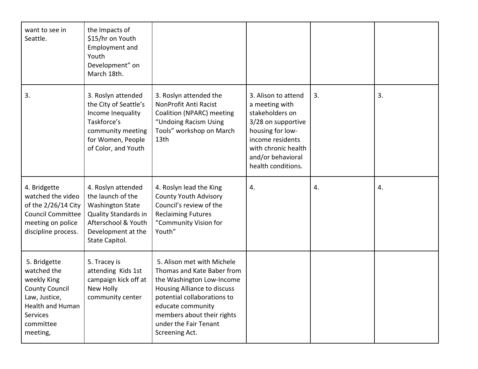| want to see in<br>Seattle.                                                                                                                    | the Impacts of<br>\$15/hr on Youth<br><b>Employment and</b><br>Youth<br>Development" on<br>March 18th.                                                           |                                                                                                                                                                                                                                                   |                                                                                                                                                                                          |    |    |
|-----------------------------------------------------------------------------------------------------------------------------------------------|------------------------------------------------------------------------------------------------------------------------------------------------------------------|---------------------------------------------------------------------------------------------------------------------------------------------------------------------------------------------------------------------------------------------------|------------------------------------------------------------------------------------------------------------------------------------------------------------------------------------------|----|----|
| 3.                                                                                                                                            | 3. Roslyn attended<br>the City of Seattle's<br>Income Inequality<br>Taskforce's<br>community meeting<br>for Women, People<br>of Color, and Youth                 | 3. Roslyn attended the<br>NonProfit Anti Racist<br>Coalition (NPARC) meeting<br>"Undoing Racism Using<br>Tools" workshop on March<br>13th                                                                                                         | 3. Alison to attend<br>a meeting with<br>stakeholders on<br>3/28 on supportive<br>housing for low-<br>income residents<br>with chronic health<br>and/or behavioral<br>health conditions. | 3. | 3. |
| 4. Bridgette<br>watched the video<br>of the 2/26/14 City<br><b>Council Committee</b><br>meeting on police<br>discipline process.              | 4. Roslyn attended<br>the launch of the<br><b>Washington State</b><br><b>Quality Standards in</b><br>Afterschool & Youth<br>Development at the<br>State Capitol. | 4. Roslyn lead the King<br><b>County Youth Advisory</b><br>Council's review of the<br><b>Reclaiming Futures</b><br>"Community Vision for<br>Youth"                                                                                                | 4.                                                                                                                                                                                       | 4. | 4. |
| 5. Bridgette<br>watched the<br>weekly King<br><b>County Council</b><br>Law, Justice,<br>Health and Human<br>Services<br>committee<br>meeting, | 5. Tracey is<br>attending Kids 1st<br>campaign kick off at<br>New Holly<br>community center                                                                      | 5. Alison met with Michele<br>Thomas and Kate Baber from<br>the Washington Low-Income<br>Housing Alliance to discuss<br>potential collaborations to<br>educate community<br>members about their rights<br>under the Fair Tenant<br>Screening Act. |                                                                                                                                                                                          |    |    |